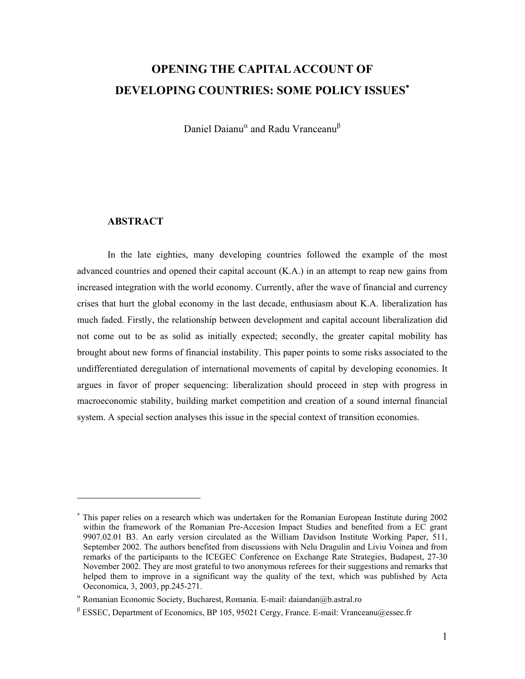# **OPENING THE CAPITAL ACCOUNT OF DEVELOPING COUNTRIES: SOME POLICY ISSUES**<sup>∗</sup>

Daniel Daianu<sup>α</sup> and Radu Vranceanu<sup>β</sup>

## **ABSTRACT**

 $\overline{\phantom{a}}$ 

In the late eighties, many developing countries followed the example of the most advanced countries and opened their capital account (K.A.) in an attempt to reap new gains from increased integration with the world economy. Currently, after the wave of financial and currency crises that hurt the global economy in the last decade, enthusiasm about K.A. liberalization has much faded. Firstly, the relationship between development and capital account liberalization did not come out to be as solid as initially expected; secondly, the greater capital mobility has brought about new forms of financial instability. This paper points to some risks associated to the undifferentiated deregulation of international movements of capital by developing economies. It argues in favor of proper sequencing: liberalization should proceed in step with progress in macroeconomic stability, building market competition and creation of a sound internal financial system. A special section analyses this issue in the special context of transition economies.

<sup>∗</sup> This paper relies on a research which was undertaken for the Romanian European Institute during 2002 within the framework of the Romanian Pre-Accesion Impact Studies and benefited from a EC grant 9907.02.01 B3. An early version circulated as the William Davidson Institute Working Paper, 511, September 2002. The authors benefited from discussions with Nelu Dragulin and Liviu Voinea and from remarks of the participants to the ICEGEC Conference on Exchange Rate Strategies, Budapest, 27-30 November 2002. They are most grateful to two anonymous referees for their suggestions and remarks that helped them to improve in a significant way the quality of the text, which was published by Acta Oeconomica, 3, 2003, pp.245-271.

α Romanian Economic Society, Bucharest, Romania. E-mail: daiandan@b.astral.ro

β ESSEC, Department of Economics, BP 105, 95021 Cergy, France. E-mail: Vranceanu@essec.fr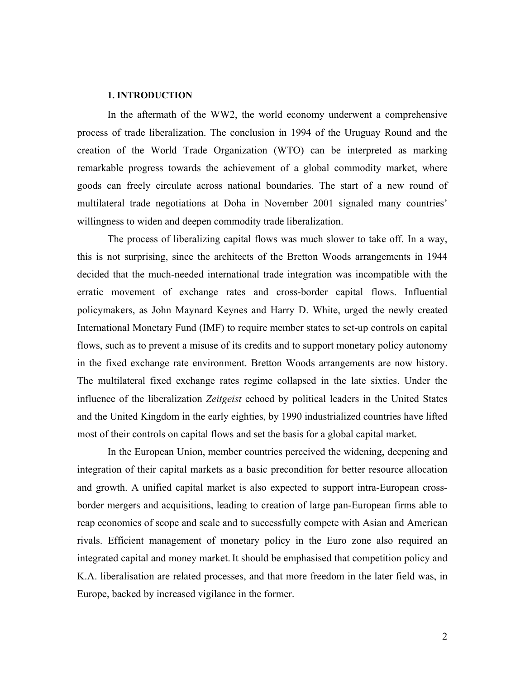#### **1. INTRODUCTION**

In the aftermath of the WW2, the world economy underwent a comprehensive process of trade liberalization. The conclusion in 1994 of the Uruguay Round and the creation of the World Trade Organization (WTO) can be interpreted as marking remarkable progress towards the achievement of a global commodity market, where goods can freely circulate across national boundaries. The start of a new round of multilateral trade negotiations at Doha in November 2001 signaled many countries' willingness to widen and deepen commodity trade liberalization.

The process of liberalizing capital flows was much slower to take off. In a way, this is not surprising, since the architects of the Bretton Woods arrangements in 1944 decided that the much-needed international trade integration was incompatible with the erratic movement of exchange rates and cross-border capital flows. Influential policymakers, as John Maynard Keynes and Harry D. White, urged the newly created International Monetary Fund (IMF) to require member states to set-up controls on capital flows, such as to prevent a misuse of its credits and to support monetary policy autonomy in the fixed exchange rate environment. Bretton Woods arrangements are now history. The multilateral fixed exchange rates regime collapsed in the late sixties. Under the influence of the liberalization *Zeitgeist* echoed by political leaders in the United States and the United Kingdom in the early eighties, by 1990 industrialized countries have lifted most of their controls on capital flows and set the basis for a global capital market.

In the European Union, member countries perceived the widening, deepening and integration of their capital markets as a basic precondition for better resource allocation and growth. A unified capital market is also expected to support intra-European crossborder mergers and acquisitions, leading to creation of large pan-European firms able to reap economies of scope and scale and to successfully compete with Asian and American rivals. Efficient management of monetary policy in the Euro zone also required an integrated capital and money market. It should be emphasised that competition policy and K.A. liberalisation are related processes, and that more freedom in the later field was, in Europe, backed by increased vigilance in the former.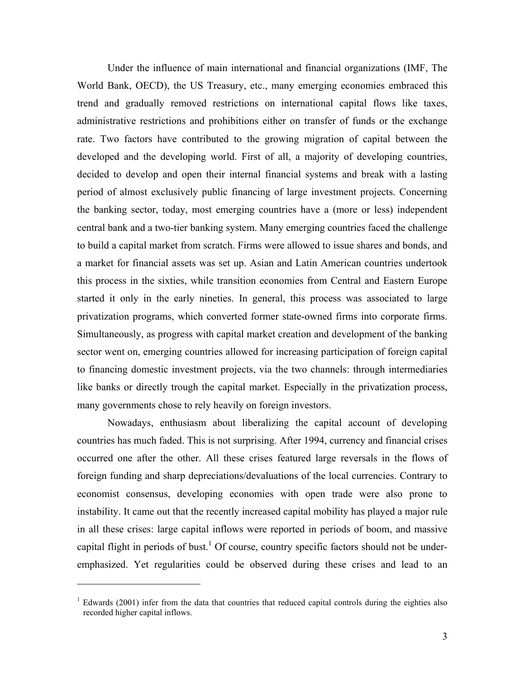Under the influence of main international and financial organizations (IMF, The World Bank, OECD), the US Treasury, etc., many emerging economies embraced this trend and gradually removed restrictions on international capital flows like taxes, administrative restrictions and prohibitions either on transfer of funds or the exchange rate. Two factors have contributed to the growing migration of capital between the developed and the developing world. First of all, a majority of developing countries, decided to develop and open their internal financial systems and break with a lasting period of almost exclusively public financing of large investment projects. Concerning the banking sector, today, most emerging countries have a (more or less) independent central bank and a two-tier banking system. Many emerging countries faced the challenge to build a capital market from scratch. Firms were allowed to issue shares and bonds, and a market for financial assets was set up. Asian and Latin American countries undertook this process in the sixties, while transition economies from Central and Eastern Europe started it only in the early nineties. In general, this process was associated to large privatization programs, which converted former state-owned firms into corporate firms. Simultaneously, as progress with capital market creation and development of the banking sector went on, emerging countries allowed for increasing participation of foreign capital to financing domestic investment projects, via the two channels: through intermediaries like banks or directly trough the capital market. Especially in the privatization process, many governments chose to rely heavily on foreign investors.

Nowadays, enthusiasm about liberalizing the capital account of developing countries has much faded. This is not surprising. After 1994, currency and financial crises occurred one after the other. All these crises featured large reversals in the flows of foreign funding and sharp depreciations/devaluations of the local currencies. Contrary to economist consensus, developing economies with open trade were also prone to instability. It came out that the recently increased capital mobility has played a major rule in all these crises: large capital inflows were reported in periods of boom, and massive capital flight in periods of bust.<sup>1</sup> Of course, country specific factors should not be underemphasized. Yet regularities could be observed during these crises and lead to an

 $\overline{a}$ 

 $1$  Edwards (2001) infer from the data that countries that reduced capital controls during the eighties also recorded higher capital inflows.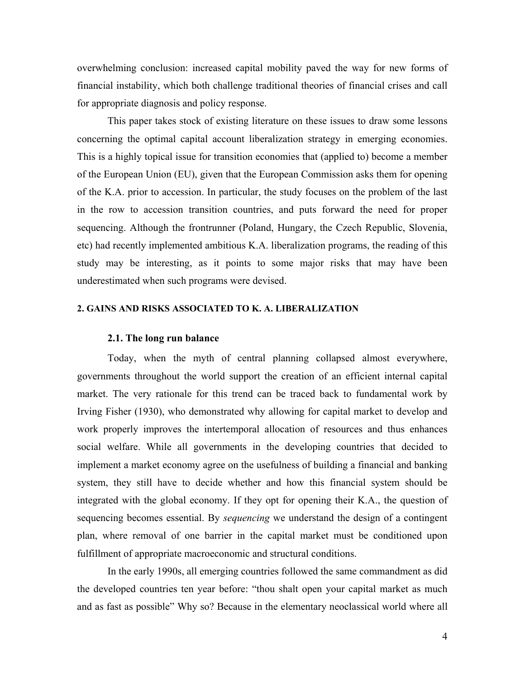overwhelming conclusion: increased capital mobility paved the way for new forms of financial instability, which both challenge traditional theories of financial crises and call for appropriate diagnosis and policy response.

This paper takes stock of existing literature on these issues to draw some lessons concerning the optimal capital account liberalization strategy in emerging economies. This is a highly topical issue for transition economies that (applied to) become a member of the European Union (EU), given that the European Commission asks them for opening of the K.A. prior to accession. In particular, the study focuses on the problem of the last in the row to accession transition countries, and puts forward the need for proper sequencing. Although the frontrunner (Poland, Hungary, the Czech Republic, Slovenia, etc) had recently implemented ambitious K.A. liberalization programs, the reading of this study may be interesting, as it points to some major risks that may have been underestimated when such programs were devised.

# **2. GAINS AND RISKS ASSOCIATED TO K. A. LIBERALIZATION**

#### **2.1. The long run balance**

Today, when the myth of central planning collapsed almost everywhere, governments throughout the world support the creation of an efficient internal capital market. The very rationale for this trend can be traced back to fundamental work by Irving Fisher (1930), who demonstrated why allowing for capital market to develop and work properly improves the intertemporal allocation of resources and thus enhances social welfare. While all governments in the developing countries that decided to implement a market economy agree on the usefulness of building a financial and banking system, they still have to decide whether and how this financial system should be integrated with the global economy. If they opt for opening their K.A., the question of sequencing becomes essential. By *sequencing* we understand the design of a contingent plan, where removal of one barrier in the capital market must be conditioned upon fulfillment of appropriate macroeconomic and structural conditions.

In the early 1990s, all emerging countries followed the same commandment as did the developed countries ten year before: "thou shalt open your capital market as much and as fast as possible" Why so? Because in the elementary neoclassical world where all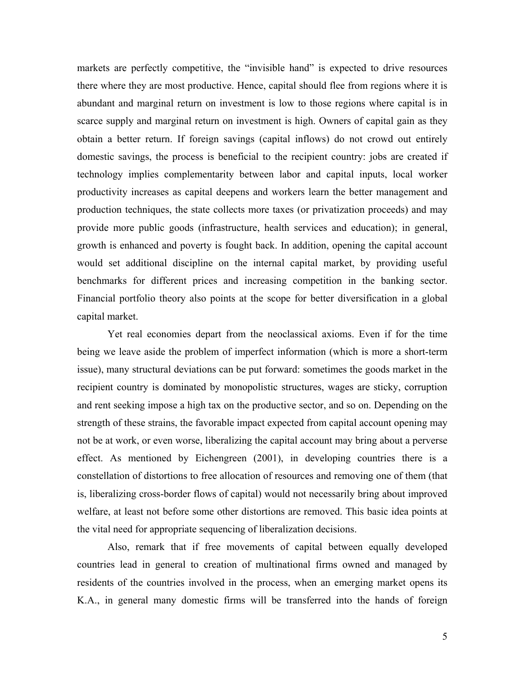markets are perfectly competitive, the "invisible hand" is expected to drive resources there where they are most productive. Hence, capital should flee from regions where it is abundant and marginal return on investment is low to those regions where capital is in scarce supply and marginal return on investment is high. Owners of capital gain as they obtain a better return. If foreign savings (capital inflows) do not crowd out entirely domestic savings, the process is beneficial to the recipient country: jobs are created if technology implies complementarity between labor and capital inputs, local worker productivity increases as capital deepens and workers learn the better management and production techniques, the state collects more taxes (or privatization proceeds) and may provide more public goods (infrastructure, health services and education); in general, growth is enhanced and poverty is fought back. In addition, opening the capital account would set additional discipline on the internal capital market, by providing useful benchmarks for different prices and increasing competition in the banking sector. Financial portfolio theory also points at the scope for better diversification in a global capital market.

Yet real economies depart from the neoclassical axioms. Even if for the time being we leave aside the problem of imperfect information (which is more a short-term issue), many structural deviations can be put forward: sometimes the goods market in the recipient country is dominated by monopolistic structures, wages are sticky, corruption and rent seeking impose a high tax on the productive sector, and so on. Depending on the strength of these strains, the favorable impact expected from capital account opening may not be at work, or even worse, liberalizing the capital account may bring about a perverse effect. As mentioned by Eichengreen (2001), in developing countries there is a constellation of distortions to free allocation of resources and removing one of them (that is, liberalizing cross-border flows of capital) would not necessarily bring about improved welfare, at least not before some other distortions are removed. This basic idea points at the vital need for appropriate sequencing of liberalization decisions.

Also, remark that if free movements of capital between equally developed countries lead in general to creation of multinational firms owned and managed by residents of the countries involved in the process, when an emerging market opens its K.A., in general many domestic firms will be transferred into the hands of foreign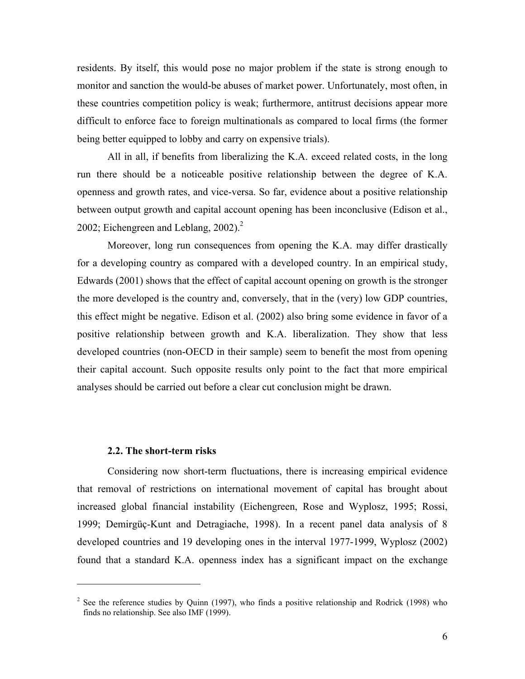residents. By itself, this would pose no major problem if the state is strong enough to monitor and sanction the would-be abuses of market power. Unfortunately, most often, in these countries competition policy is weak; furthermore, antitrust decisions appear more difficult to enforce face to foreign multinationals as compared to local firms (the former being better equipped to lobby and carry on expensive trials).

All in all, if benefits from liberalizing the K.A. exceed related costs, in the long run there should be a noticeable positive relationship between the degree of K.A. openness and growth rates, and vice-versa. So far, evidence about a positive relationship between output growth and capital account opening has been inconclusive (Edison et al., 2002; Eichengreen and Leblang,  $2002$ ).<sup>2</sup>

Moreover, long run consequences from opening the K.A. may differ drastically for a developing country as compared with a developed country. In an empirical study, Edwards (2001) shows that the effect of capital account opening on growth is the stronger the more developed is the country and, conversely, that in the (very) low GDP countries, this effect might be negative. Edison et al. (2002) also bring some evidence in favor of a positive relationship between growth and K.A. liberalization. They show that less developed countries (non-OECD in their sample) seem to benefit the most from opening their capital account. Such opposite results only point to the fact that more empirical analyses should be carried out before a clear cut conclusion might be drawn.

#### **2.2. The short-term risks**

<u>.</u>

Considering now short-term fluctuations, there is increasing empirical evidence that removal of restrictions on international movement of capital has brought about increased global financial instability (Eichengreen, Rose and Wyplosz, 1995; Rossi, 1999; Demirgüç-Kunt and Detragiache, 1998). In a recent panel data analysis of 8 developed countries and 19 developing ones in the interval 1977-1999, Wyplosz (2002) found that a standard K.A. openness index has a significant impact on the exchange

<sup>&</sup>lt;sup>2</sup> See the reference studies by Quinn (1997), who finds a positive relationship and Rodrick (1998) who finds no relationship. See also IMF (1999).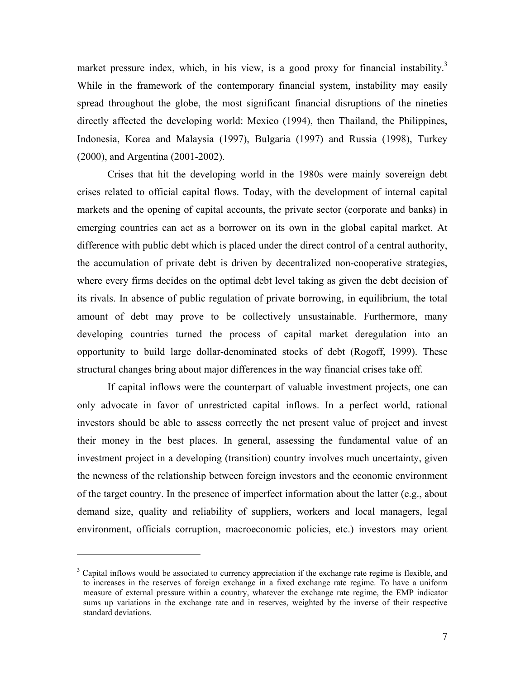market pressure index, which, in his view, is a good proxy for financial instability.<sup>3</sup> While in the framework of the contemporary financial system, instability may easily spread throughout the globe, the most significant financial disruptions of the nineties directly affected the developing world: Mexico (1994), then Thailand, the Philippines, Indonesia, Korea and Malaysia (1997), Bulgaria (1997) and Russia (1998), Turkey (2000), and Argentina (2001-2002).

Crises that hit the developing world in the 1980s were mainly sovereign debt crises related to official capital flows. Today, with the development of internal capital markets and the opening of capital accounts, the private sector (corporate and banks) in emerging countries can act as a borrower on its own in the global capital market. At difference with public debt which is placed under the direct control of a central authority, the accumulation of private debt is driven by decentralized non-cooperative strategies, where every firms decides on the optimal debt level taking as given the debt decision of its rivals. In absence of public regulation of private borrowing, in equilibrium, the total amount of debt may prove to be collectively unsustainable. Furthermore, many developing countries turned the process of capital market deregulation into an opportunity to build large dollar-denominated stocks of debt (Rogoff, 1999). These structural changes bring about major differences in the way financial crises take off.

If capital inflows were the counterpart of valuable investment projects, one can only advocate in favor of unrestricted capital inflows. In a perfect world, rational investors should be able to assess correctly the net present value of project and invest their money in the best places. In general, assessing the fundamental value of an investment project in a developing (transition) country involves much uncertainty, given the newness of the relationship between foreign investors and the economic environment of the target country. In the presence of imperfect information about the latter (e.g., about demand size, quality and reliability of suppliers, workers and local managers, legal environment, officials corruption, macroeconomic policies, etc.) investors may orient

<u>.</u>

<sup>&</sup>lt;sup>3</sup> Capital inflows would be associated to currency appreciation if the exchange rate regime is flexible, and to increases in the reserves of foreign exchange in a fixed exchange rate regime. To have a uniform measure of external pressure within a country, whatever the exchange rate regime, the EMP indicator sums up variations in the exchange rate and in reserves, weighted by the inverse of their respective standard deviations.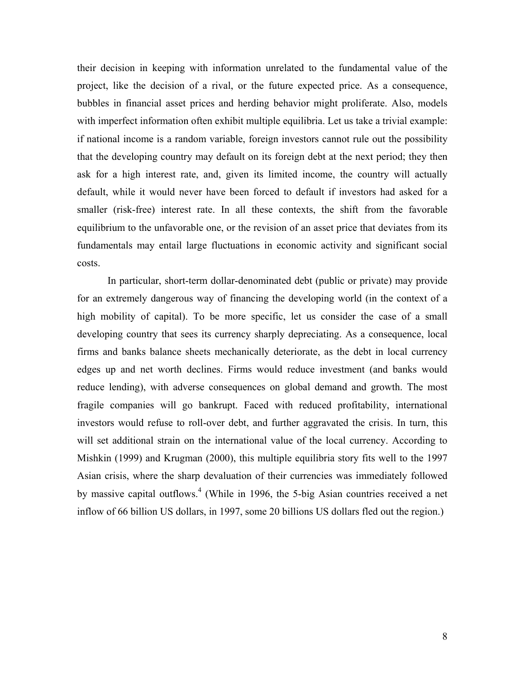their decision in keeping with information unrelated to the fundamental value of the project, like the decision of a rival, or the future expected price. As a consequence, bubbles in financial asset prices and herding behavior might proliferate. Also, models with imperfect information often exhibit multiple equilibria. Let us take a trivial example: if national income is a random variable, foreign investors cannot rule out the possibility that the developing country may default on its foreign debt at the next period; they then ask for a high interest rate, and, given its limited income, the country will actually default, while it would never have been forced to default if investors had asked for a smaller (risk-free) interest rate. In all these contexts, the shift from the favorable equilibrium to the unfavorable one, or the revision of an asset price that deviates from its fundamentals may entail large fluctuations in economic activity and significant social costs.

In particular, short-term dollar-denominated debt (public or private) may provide for an extremely dangerous way of financing the developing world (in the context of a high mobility of capital). To be more specific, let us consider the case of a small developing country that sees its currency sharply depreciating. As a consequence, local firms and banks balance sheets mechanically deteriorate, as the debt in local currency edges up and net worth declines. Firms would reduce investment (and banks would reduce lending), with adverse consequences on global demand and growth. The most fragile companies will go bankrupt. Faced with reduced profitability, international investors would refuse to roll-over debt, and further aggravated the crisis. In turn, this will set additional strain on the international value of the local currency. According to Mishkin (1999) and Krugman (2000), this multiple equilibria story fits well to the 1997 Asian crisis, where the sharp devaluation of their currencies was immediately followed by massive capital outflows.<sup>4</sup> (While in 1996, the 5-big Asian countries received a net inflow of 66 billion US dollars, in 1997, some 20 billions US dollars fled out the region.)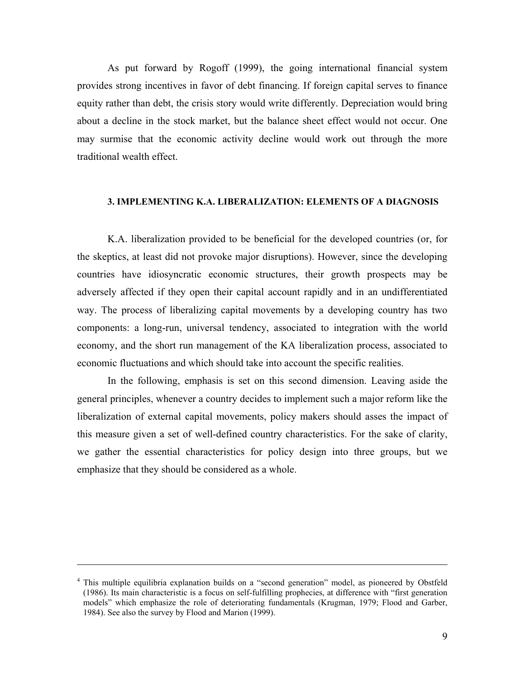As put forward by Rogoff (1999), the going international financial system provides strong incentives in favor of debt financing. If foreign capital serves to finance equity rather than debt, the crisis story would write differently. Depreciation would bring about a decline in the stock market, but the balance sheet effect would not occur. One may surmise that the economic activity decline would work out through the more traditional wealth effect.

#### **3. IMPLEMENTING K.A. LIBERALIZATION: ELEMENTS OF A DIAGNOSIS**

K.A. liberalization provided to be beneficial for the developed countries (or, for the skeptics, at least did not provoke major disruptions). However, since the developing countries have idiosyncratic economic structures, their growth prospects may be adversely affected if they open their capital account rapidly and in an undifferentiated way. The process of liberalizing capital movements by a developing country has two components: a long-run, universal tendency, associated to integration with the world economy, and the short run management of the KA liberalization process, associated to economic fluctuations and which should take into account the specific realities.

In the following, emphasis is set on this second dimension. Leaving aside the general principles, whenever a country decides to implement such a major reform like the liberalization of external capital movements, policy makers should asses the impact of this measure given a set of well-defined country characteristics. For the sake of clarity, we gather the essential characteristics for policy design into three groups, but we emphasize that they should be considered as a whole.

 $\overline{\phantom{a}}$ 

<sup>&</sup>lt;sup>4</sup> This multiple equilibria explanation builds on a "second generation" model, as pioneered by Obstfeld (1986). Its main characteristic is a focus on self-fulfilling prophecies, at difference with "first generation models" which emphasize the role of deteriorating fundamentals (Krugman, 1979; Flood and Garber, 1984). See also the survey by Flood and Marion (1999).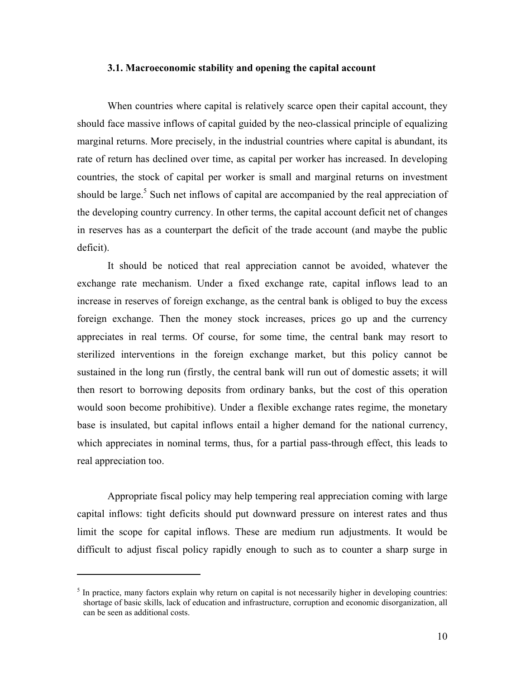#### **3.1. Macroeconomic stability and opening the capital account**

When countries where capital is relatively scarce open their capital account, they should face massive inflows of capital guided by the neo-classical principle of equalizing marginal returns. More precisely, in the industrial countries where capital is abundant, its rate of return has declined over time, as capital per worker has increased. In developing countries, the stock of capital per worker is small and marginal returns on investment should be large.<sup>5</sup> Such net inflows of capital are accompanied by the real appreciation of the developing country currency. In other terms, the capital account deficit net of changes in reserves has as a counterpart the deficit of the trade account (and maybe the public deficit).

It should be noticed that real appreciation cannot be avoided, whatever the exchange rate mechanism. Under a fixed exchange rate, capital inflows lead to an increase in reserves of foreign exchange, as the central bank is obliged to buy the excess foreign exchange. Then the money stock increases, prices go up and the currency appreciates in real terms. Of course, for some time, the central bank may resort to sterilized interventions in the foreign exchange market, but this policy cannot be sustained in the long run (firstly, the central bank will run out of domestic assets; it will then resort to borrowing deposits from ordinary banks, but the cost of this operation would soon become prohibitive). Under a flexible exchange rates regime, the monetary base is insulated, but capital inflows entail a higher demand for the national currency, which appreciates in nominal terms, thus, for a partial pass-through effect, this leads to real appreciation too.

Appropriate fiscal policy may help tempering real appreciation coming with large capital inflows: tight deficits should put downward pressure on interest rates and thus limit the scope for capital inflows. These are medium run adjustments. It would be difficult to adjust fiscal policy rapidly enough to such as to counter a sharp surge in

<sup>&</sup>lt;sup>5</sup> In practice, many factors explain why return on capital is not necessarily higher in developing countries: shortage of basic skills, lack of education and infrastructure, corruption and economic disorganization, all can be seen as additional costs.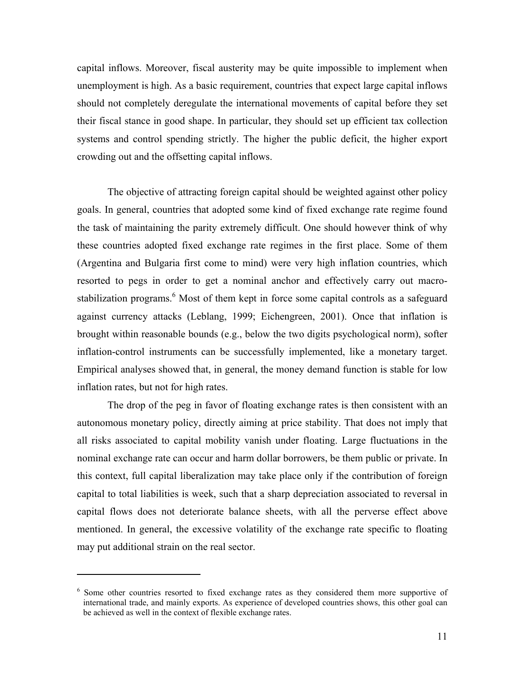capital inflows. Moreover, fiscal austerity may be quite impossible to implement when unemployment is high. As a basic requirement, countries that expect large capital inflows should not completely deregulate the international movements of capital before they set their fiscal stance in good shape. In particular, they should set up efficient tax collection systems and control spending strictly. The higher the public deficit, the higher export crowding out and the offsetting capital inflows.

The objective of attracting foreign capital should be weighted against other policy goals. In general, countries that adopted some kind of fixed exchange rate regime found the task of maintaining the parity extremely difficult. One should however think of why these countries adopted fixed exchange rate regimes in the first place. Some of them (Argentina and Bulgaria first come to mind) were very high inflation countries, which resorted to pegs in order to get a nominal anchor and effectively carry out macrostabilization programs.<sup>6</sup> Most of them kept in force some capital controls as a safeguard against currency attacks (Leblang, 1999; Eichengreen, 2001). Once that inflation is brought within reasonable bounds (e.g., below the two digits psychological norm), softer inflation-control instruments can be successfully implemented, like a monetary target. Empirical analyses showed that, in general, the money demand function is stable for low inflation rates, but not for high rates.

The drop of the peg in favor of floating exchange rates is then consistent with an autonomous monetary policy, directly aiming at price stability. That does not imply that all risks associated to capital mobility vanish under floating. Large fluctuations in the nominal exchange rate can occur and harm dollar borrowers, be them public or private. In this context, full capital liberalization may take place only if the contribution of foreign capital to total liabilities is week, such that a sharp depreciation associated to reversal in capital flows does not deteriorate balance sheets, with all the perverse effect above mentioned. In general, the excessive volatility of the exchange rate specific to floating may put additional strain on the real sector.

<sup>&</sup>lt;sup>6</sup> Some other countries resorted to fixed exchange rates as they considered them more supportive of international trade, and mainly exports. As experience of developed countries shows, this other goal can be achieved as well in the context of flexible exchange rates.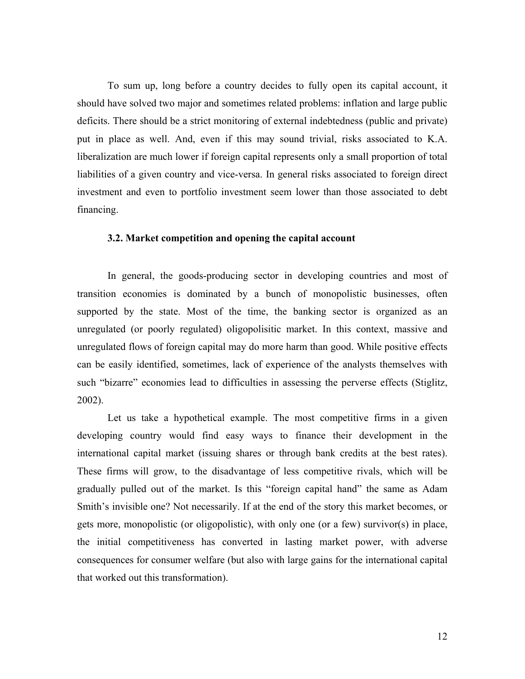To sum up, long before a country decides to fully open its capital account, it should have solved two major and sometimes related problems: inflation and large public deficits. There should be a strict monitoring of external indebtedness (public and private) put in place as well. And, even if this may sound trivial, risks associated to K.A. liberalization are much lower if foreign capital represents only a small proportion of total liabilities of a given country and vice-versa. In general risks associated to foreign direct investment and even to portfolio investment seem lower than those associated to debt financing.

## **3.2. Market competition and opening the capital account**

In general, the goods-producing sector in developing countries and most of transition economies is dominated by a bunch of monopolistic businesses, often supported by the state. Most of the time, the banking sector is organized as an unregulated (or poorly regulated) oligopolisitic market. In this context, massive and unregulated flows of foreign capital may do more harm than good. While positive effects can be easily identified, sometimes, lack of experience of the analysts themselves with such "bizarre" economies lead to difficulties in assessing the perverse effects (Stiglitz, 2002).

Let us take a hypothetical example. The most competitive firms in a given developing country would find easy ways to finance their development in the international capital market (issuing shares or through bank credits at the best rates). These firms will grow, to the disadvantage of less competitive rivals, which will be gradually pulled out of the market. Is this "foreign capital hand" the same as Adam Smith's invisible one? Not necessarily. If at the end of the story this market becomes, or gets more, monopolistic (or oligopolistic), with only one (or a few) survivor(s) in place, the initial competitiveness has converted in lasting market power, with adverse consequences for consumer welfare (but also with large gains for the international capital that worked out this transformation).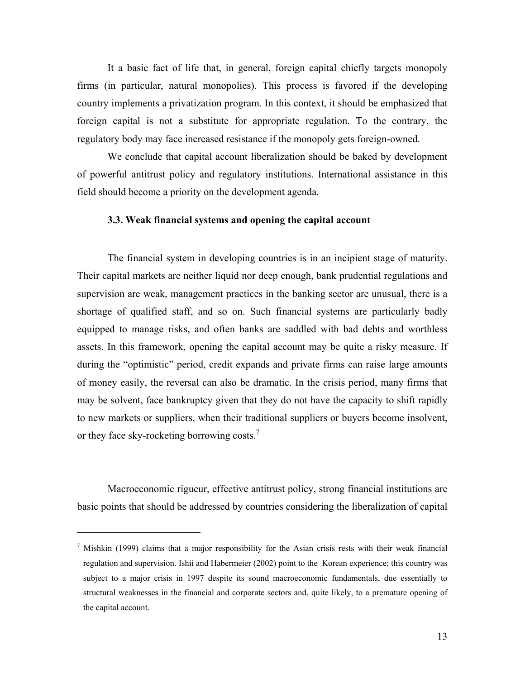It a basic fact of life that, in general, foreign capital chiefly targets monopoly firms (in particular, natural monopolies). This process is favored if the developing country implements a privatization program. In this context, it should be emphasized that foreign capital is not a substitute for appropriate regulation. To the contrary, the regulatory body may face increased resistance if the monopoly gets foreign-owned.

We conclude that capital account liberalization should be baked by development of powerful antitrust policy and regulatory institutions. International assistance in this field should become a priority on the development agenda.

# **3.3. Weak financial systems and opening the capital account**

The financial system in developing countries is in an incipient stage of maturity. Their capital markets are neither liquid nor deep enough, bank prudential regulations and supervision are weak, management practices in the banking sector are unusual, there is a shortage of qualified staff, and so on. Such financial systems are particularly badly equipped to manage risks, and often banks are saddled with bad debts and worthless assets. In this framework, opening the capital account may be quite a risky measure. If during the "optimistic" period, credit expands and private firms can raise large amounts of money easily, the reversal can also be dramatic. In the crisis period, many firms that may be solvent, face bankruptcy given that they do not have the capacity to shift rapidly to new markets or suppliers, when their traditional suppliers or buyers become insolvent, or they face sky-rocketing borrowing costs.<sup>7</sup>

Macroeconomic rigueur, effective antitrust policy, strong financial institutions are basic points that should be addressed by countries considering the liberalization of capital

<sup>&</sup>lt;sup>7</sup> Mishkin (1999) claims that a major responsibility for the Asian crisis rests with their weak financial regulation and supervision. Ishii and Habermeier (2002) point to the Korean experience; this country was subject to a major crisis in 1997 despite its sound macroeconomic fundamentals, due essentially to structural weaknesses in the financial and corporate sectors and, quite likely, to a premature opening of the capital account.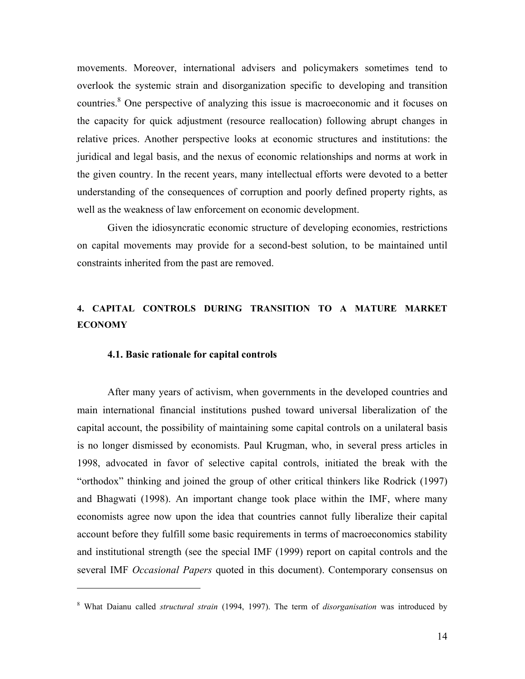movements. Moreover, international advisers and policymakers sometimes tend to overlook the systemic strain and disorganization specific to developing and transition countries.<sup>8</sup> One perspective of analyzing this issue is macroeconomic and it focuses on the capacity for quick adjustment (resource reallocation) following abrupt changes in relative prices. Another perspective looks at economic structures and institutions: the juridical and legal basis, and the nexus of economic relationships and norms at work in the given country. In the recent years, many intellectual efforts were devoted to a better understanding of the consequences of corruption and poorly defined property rights, as well as the weakness of law enforcement on economic development.

Given the idiosyncratic economic structure of developing economies, restrictions on capital movements may provide for a second-best solution, to be maintained until constraints inherited from the past are removed.

# **4. CAPITAL CONTROLS DURING TRANSITION TO A MATURE MARKET ECONOMY**

## **4.1. Basic rationale for capital controls**

After many years of activism, when governments in the developed countries and main international financial institutions pushed toward universal liberalization of the capital account, the possibility of maintaining some capital controls on a unilateral basis is no longer dismissed by economists. Paul Krugman, who, in several press articles in 1998, advocated in favor of selective capital controls, initiated the break with the "orthodox" thinking and joined the group of other critical thinkers like Rodrick (1997) and Bhagwati (1998). An important change took place within the IMF, where many economists agree now upon the idea that countries cannot fully liberalize their capital account before they fulfill some basic requirements in terms of macroeconomics stability and institutional strength (see the special IMF (1999) report on capital controls and the several IMF *Occasional Papers* quoted in this document). Contemporary consensus on

<sup>8</sup> What Daianu called *structural strain* (1994, 1997). The term of *disorganisation* was introduced by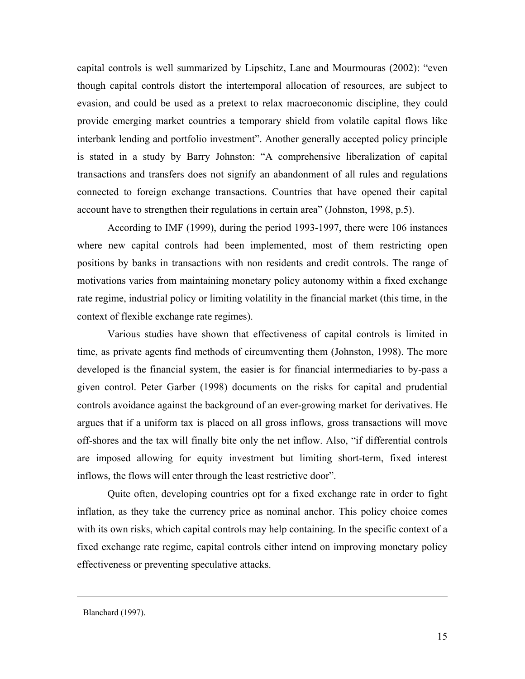capital controls is well summarized by Lipschitz, Lane and Mourmouras (2002): "even though capital controls distort the intertemporal allocation of resources, are subject to evasion, and could be used as a pretext to relax macroeconomic discipline, they could provide emerging market countries a temporary shield from volatile capital flows like interbank lending and portfolio investment". Another generally accepted policy principle is stated in a study by Barry Johnston: "A comprehensive liberalization of capital transactions and transfers does not signify an abandonment of all rules and regulations connected to foreign exchange transactions. Countries that have opened their capital account have to strengthen their regulations in certain area" (Johnston, 1998, p.5).

According to IMF (1999), during the period 1993-1997, there were 106 instances where new capital controls had been implemented, most of them restricting open positions by banks in transactions with non residents and credit controls. The range of motivations varies from maintaining monetary policy autonomy within a fixed exchange rate regime, industrial policy or limiting volatility in the financial market (this time, in the context of flexible exchange rate regimes).

Various studies have shown that effectiveness of capital controls is limited in time, as private agents find methods of circumventing them (Johnston, 1998). The more developed is the financial system, the easier is for financial intermediaries to by-pass a given control. Peter Garber (1998) documents on the risks for capital and prudential controls avoidance against the background of an ever-growing market for derivatives. He argues that if a uniform tax is placed on all gross inflows, gross transactions will move off-shores and the tax will finally bite only the net inflow. Also, "if differential controls are imposed allowing for equity investment but limiting short-term, fixed interest inflows, the flows will enter through the least restrictive door".

Quite often, developing countries opt for a fixed exchange rate in order to fight inflation, as they take the currency price as nominal anchor. This policy choice comes with its own risks, which capital controls may help containing. In the specific context of a fixed exchange rate regime, capital controls either intend on improving monetary policy effectiveness or preventing speculative attacks.

Blanchard (1997).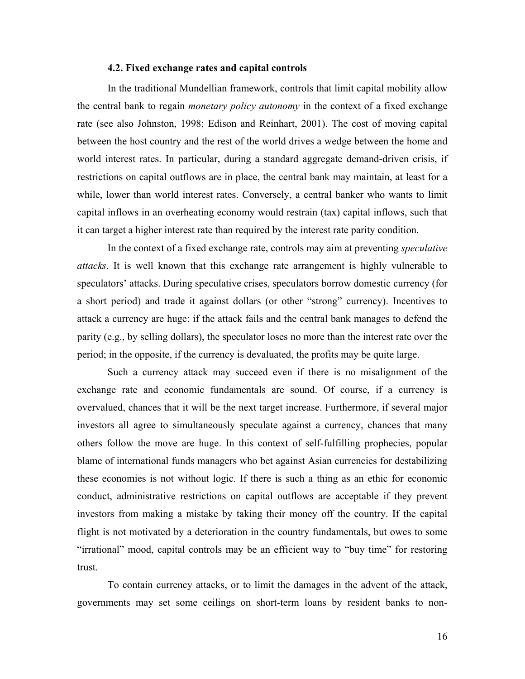# **4.2. Fixed exchange rates and capital controls**

In the traditional Mundellian framework, controls that limit capital mobility allow the central bank to regain *monetary policy autonomy* in the context of a fixed exchange rate (see also Johnston, 1998; Edison and Reinhart, 2001). The cost of moving capital between the host country and the rest of the world drives a wedge between the home and world interest rates. In particular, during a standard aggregate demand-driven crisis, if restrictions on capital outflows are in place, the central bank may maintain, at least for a while, lower than world interest rates. Conversely, a central banker who wants to limit capital inflows in an overheating economy would restrain (tax) capital inflows, such that it can target a higher interest rate than required by the interest rate parity condition.

In the context of a fixed exchange rate, controls may aim at preventing *speculative attacks*. It is well known that this exchange rate arrangement is highly vulnerable to speculators' attacks. During speculative crises, speculators borrow domestic currency (for a short period) and trade it against dollars (or other "strong" currency). Incentives to attack a currency are huge: if the attack fails and the central bank manages to defend the parity (e.g., by selling dollars), the speculator loses no more than the interest rate over the period; in the opposite, if the currency is devaluated, the profits may be quite large.

Such a currency attack may succeed even if there is no misalignment of the exchange rate and economic fundamentals are sound. Of course, if a currency is overvalued, chances that it will be the next target increase. Furthermore, if several major investors all agree to simultaneously speculate against a currency, chances that many others follow the move are huge. In this context of self-fulfilling prophecies, popular blame of international funds managers who bet against Asian currencies for destabilizing these economies is not without logic. If there is such a thing as an ethic for economic conduct, administrative restrictions on capital outflows are acceptable if they prevent investors from making a mistake by taking their money off the country. If the capital flight is not motivated by a deterioration in the country fundamentals, but owes to some "irrational" mood, capital controls may be an efficient way to "buy time" for restoring trust.

To contain currency attacks, or to limit the damages in the advent of the attack, governments may set some ceilings on short-term loans by resident banks to non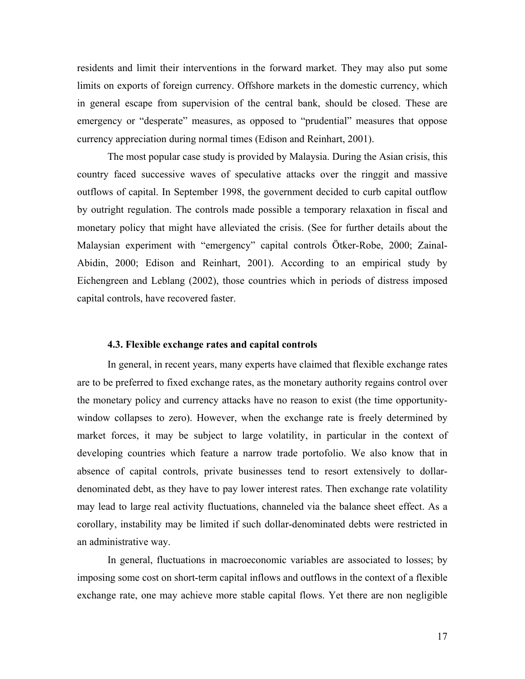residents and limit their interventions in the forward market. They may also put some limits on exports of foreign currency. Offshore markets in the domestic currency, which in general escape from supervision of the central bank, should be closed. These are emergency or "desperate" measures, as opposed to "prudential" measures that oppose currency appreciation during normal times (Edison and Reinhart, 2001).

The most popular case study is provided by Malaysia. During the Asian crisis, this country faced successive waves of speculative attacks over the ringgit and massive outflows of capital. In September 1998, the government decided to curb capital outflow by outright regulation. The controls made possible a temporary relaxation in fiscal and monetary policy that might have alleviated the crisis. (See for further details about the Malaysian experiment with "emergency" capital controls Ötker-Robe, 2000; Zainal-Abidin, 2000; Edison and Reinhart, 2001). According to an empirical study by Eichengreen and Leblang (2002), those countries which in periods of distress imposed capital controls, have recovered faster.

# **4.3. Flexible exchange rates and capital controls**

In general, in recent years, many experts have claimed that flexible exchange rates are to be preferred to fixed exchange rates, as the monetary authority regains control over the monetary policy and currency attacks have no reason to exist (the time opportunitywindow collapses to zero). However, when the exchange rate is freely determined by market forces, it may be subject to large volatility, in particular in the context of developing countries which feature a narrow trade portofolio. We also know that in absence of capital controls, private businesses tend to resort extensively to dollardenominated debt, as they have to pay lower interest rates. Then exchange rate volatility may lead to large real activity fluctuations, channeled via the balance sheet effect. As a corollary, instability may be limited if such dollar-denominated debts were restricted in an administrative way.

In general, fluctuations in macroeconomic variables are associated to losses; by imposing some cost on short-term capital inflows and outflows in the context of a flexible exchange rate, one may achieve more stable capital flows. Yet there are non negligible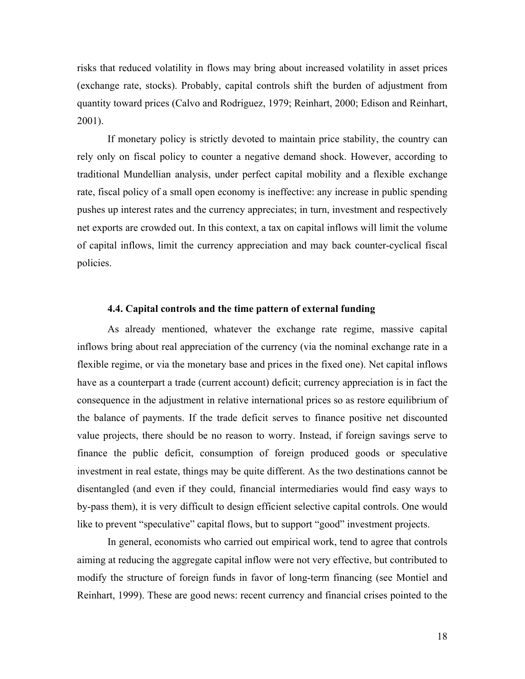risks that reduced volatility in flows may bring about increased volatility in asset prices (exchange rate, stocks). Probably, capital controls shift the burden of adjustment from quantity toward prices (Calvo and Rodriguez, 1979; Reinhart, 2000; Edison and Reinhart, 2001).

If monetary policy is strictly devoted to maintain price stability, the country can rely only on fiscal policy to counter a negative demand shock. However, according to traditional Mundellian analysis, under perfect capital mobility and a flexible exchange rate, fiscal policy of a small open economy is ineffective: any increase in public spending pushes up interest rates and the currency appreciates; in turn, investment and respectively net exports are crowded out. In this context, a tax on capital inflows will limit the volume of capital inflows, limit the currency appreciation and may back counter-cyclical fiscal policies.

# **4.4. Capital controls and the time pattern of external funding**

As already mentioned, whatever the exchange rate regime, massive capital inflows bring about real appreciation of the currency (via the nominal exchange rate in a flexible regime, or via the monetary base and prices in the fixed one). Net capital inflows have as a counterpart a trade (current account) deficit; currency appreciation is in fact the consequence in the adjustment in relative international prices so as restore equilibrium of the balance of payments. If the trade deficit serves to finance positive net discounted value projects, there should be no reason to worry. Instead, if foreign savings serve to finance the public deficit, consumption of foreign produced goods or speculative investment in real estate, things may be quite different. As the two destinations cannot be disentangled (and even if they could, financial intermediaries would find easy ways to by-pass them), it is very difficult to design efficient selective capital controls. One would like to prevent "speculative" capital flows, but to support "good" investment projects.

In general, economists who carried out empirical work, tend to agree that controls aiming at reducing the aggregate capital inflow were not very effective, but contributed to modify the structure of foreign funds in favor of long-term financing (see Montiel and Reinhart, 1999). These are good news: recent currency and financial crises pointed to the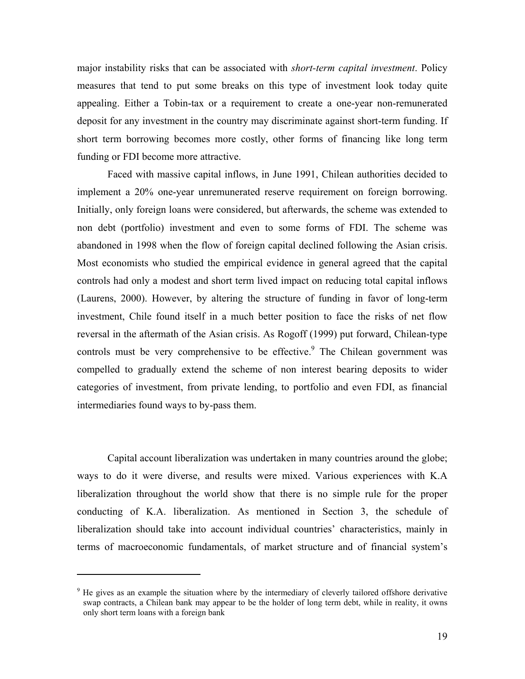major instability risks that can be associated with *short-term capital investment*. Policy measures that tend to put some breaks on this type of investment look today quite appealing. Either a Tobin-tax or a requirement to create a one-year non-remunerated deposit for any investment in the country may discriminate against short-term funding. If short term borrowing becomes more costly, other forms of financing like long term funding or FDI become more attractive.

Faced with massive capital inflows, in June 1991, Chilean authorities decided to implement a 20% one-year unremunerated reserve requirement on foreign borrowing. Initially, only foreign loans were considered, but afterwards, the scheme was extended to non debt (portfolio) investment and even to some forms of FDI. The scheme was abandoned in 1998 when the flow of foreign capital declined following the Asian crisis. Most economists who studied the empirical evidence in general agreed that the capital controls had only a modest and short term lived impact on reducing total capital inflows (Laurens, 2000). However, by altering the structure of funding in favor of long-term investment, Chile found itself in a much better position to face the risks of net flow reversal in the aftermath of the Asian crisis. As Rogoff (1999) put forward, Chilean-type controls must be very comprehensive to be effective. $9$  The Chilean government was compelled to gradually extend the scheme of non interest bearing deposits to wider categories of investment, from private lending, to portfolio and even FDI, as financial intermediaries found ways to by-pass them.

Capital account liberalization was undertaken in many countries around the globe; ways to do it were diverse, and results were mixed. Various experiences with K.A liberalization throughout the world show that there is no simple rule for the proper conducting of K.A. liberalization. As mentioned in Section 3, the schedule of liberalization should take into account individual countries' characteristics, mainly in terms of macroeconomic fundamentals, of market structure and of financial system's

<sup>&</sup>lt;sup>9</sup> He gives as an example the situation where by the intermediary of cleverly tailored offshore derivative swap contracts, a Chilean bank may appear to be the holder of long term debt, while in reality, it owns only short term loans with a foreign bank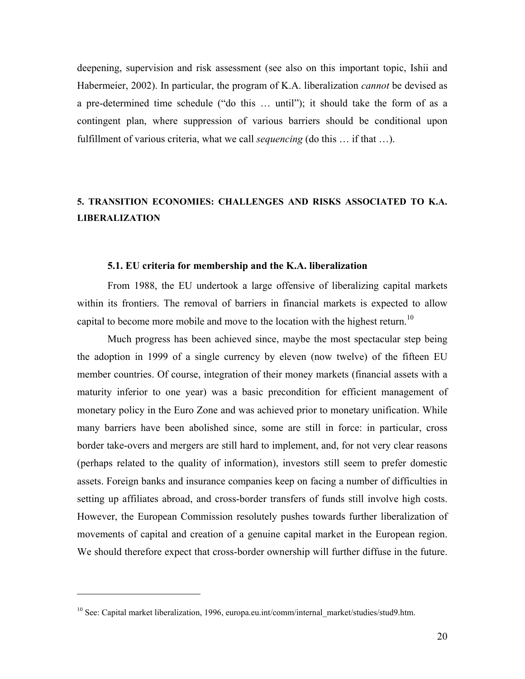deepening, supervision and risk assessment (see also on this important topic, Ishii and Habermeier, 2002). In particular, the program of K.A. liberalization *cannot* be devised as a pre-determined time schedule ("do this … until"); it should take the form of as a contingent plan, where suppression of various barriers should be conditional upon fulfillment of various criteria, what we call *sequencing* (do this … if that …).

# **5. TRANSITION ECONOMIES: CHALLENGES AND RISKS ASSOCIATED TO K.A. LIBERALIZATION**

#### **5.1. EU criteria for membership and the K.A. liberalization**

From 1988, the EU undertook a large offensive of liberalizing capital markets within its frontiers. The removal of barriers in financial markets is expected to allow capital to become more mobile and move to the location with the highest return.<sup>10</sup>

Much progress has been achieved since, maybe the most spectacular step being the adoption in 1999 of a single currency by eleven (now twelve) of the fifteen EU member countries. Of course, integration of their money markets (financial assets with a maturity inferior to one year) was a basic precondition for efficient management of monetary policy in the Euro Zone and was achieved prior to monetary unification. While many barriers have been abolished since, some are still in force: in particular, cross border take-overs and mergers are still hard to implement, and, for not very clear reasons (perhaps related to the quality of information), investors still seem to prefer domestic assets. Foreign banks and insurance companies keep on facing a number of difficulties in setting up affiliates abroad, and cross-border transfers of funds still involve high costs. However, the European Commission resolutely pushes towards further liberalization of movements of capital and creation of a genuine capital market in the European region. We should therefore expect that cross-border ownership will further diffuse in the future.

<sup>&</sup>lt;sup>10</sup> See: Capital market liberalization, 1996, europa.eu.int/comm/internal\_market/studies/stud9.htm.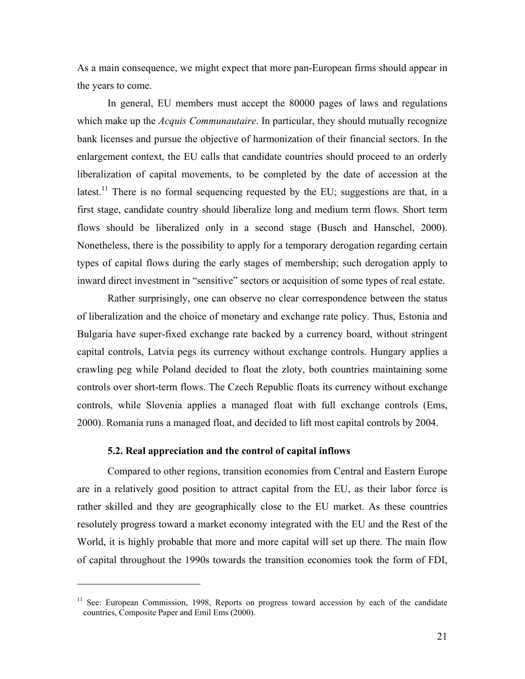As a main consequence, we might expect that more pan-European firms should appear in the years to come.

In general, EU members must accept the 80000 pages of laws and regulations which make up the *Acquis Communautaire*. In particular, they should mutually recognize bank licenses and pursue the objective of harmonization of their financial sectors. In the enlargement context, the EU calls that candidate countries should proceed to an orderly liberalization of capital movements, to be completed by the date of accession at the latest.<sup>11</sup> There is no formal sequencing requested by the EU; suggestions are that, in a first stage, candidate country should liberalize long and medium term flows. Short term flows should be liberalized only in a second stage (Busch and Hanschel, 2000). Nonetheless, there is the possibility to apply for a temporary derogation regarding certain types of capital flows during the early stages of membership; such derogation apply to inward direct investment in "sensitive" sectors or acquisition of some types of real estate.

Rather surprisingly, one can observe no clear correspondence between the status of liberalization and the choice of monetary and exchange rate policy. Thus, Estonia and Bulgaria have super-fixed exchange rate backed by a currency board, without stringent capital controls, Latvia pegs its currency without exchange controls. Hungary applies a crawling peg while Poland decided to float the zloty, both countries maintaining some controls over short-term flows. The Czech Republic floats its currency without exchange controls, while Slovenia applies a managed float with full exchange controls (Ems, 2000). Romania runs a managed float, and decided to lift most capital controls by 2004.

# **5.2. Real appreciation and the control of capital inflows**

 $\overline{a}$ 

Compared to other regions, transition economies from Central and Eastern Europe are in a relatively good position to attract capital from the EU, as their labor force is rather skilled and they are geographically close to the EU market. As these countries resolutely progress toward a market economy integrated with the EU and the Rest of the World, it is highly probable that more and more capital will set up there. The main flow of capital throughout the 1990s towards the transition economies took the form of FDI,

<sup>&</sup>lt;sup>11</sup> See: European Commission, 1998, Reports on progress toward accession by each of the candidate countries, Composite Paper and Emil Ems (2000).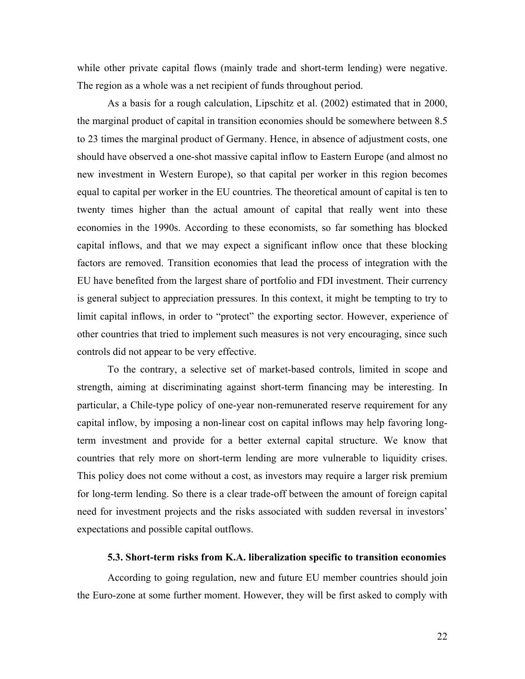while other private capital flows (mainly trade and short-term lending) were negative. The region as a whole was a net recipient of funds throughout period.

As a basis for a rough calculation, Lipschitz et al. (2002) estimated that in 2000, the marginal product of capital in transition economies should be somewhere between 8.5 to 23 times the marginal product of Germany. Hence, in absence of adjustment costs, one should have observed a one-shot massive capital inflow to Eastern Europe (and almost no new investment in Western Europe), so that capital per worker in this region becomes equal to capital per worker in the EU countries. The theoretical amount of capital is ten to twenty times higher than the actual amount of capital that really went into these economies in the 1990s. According to these economists, so far something has blocked capital inflows, and that we may expect a significant inflow once that these blocking factors are removed. Transition economies that lead the process of integration with the EU have benefited from the largest share of portfolio and FDI investment. Their currency is general subject to appreciation pressures. In this context, it might be tempting to try to limit capital inflows, in order to "protect" the exporting sector. However, experience of other countries that tried to implement such measures is not very encouraging, since such controls did not appear to be very effective.

To the contrary, a selective set of market-based controls, limited in scope and strength, aiming at discriminating against short-term financing may be interesting. In particular, a Chile-type policy of one-year non-remunerated reserve requirement for any capital inflow, by imposing a non-linear cost on capital inflows may help favoring longterm investment and provide for a better external capital structure. We know that countries that rely more on short-term lending are more vulnerable to liquidity crises. This policy does not come without a cost, as investors may require a larger risk premium for long-term lending. So there is a clear trade-off between the amount of foreign capital need for investment projects and the risks associated with sudden reversal in investors' expectations and possible capital outflows.

#### **5.3. Short-term risks from K.A. liberalization specific to transition economies**

According to going regulation, new and future EU member countries should join the Euro-zone at some further moment. However, they will be first asked to comply with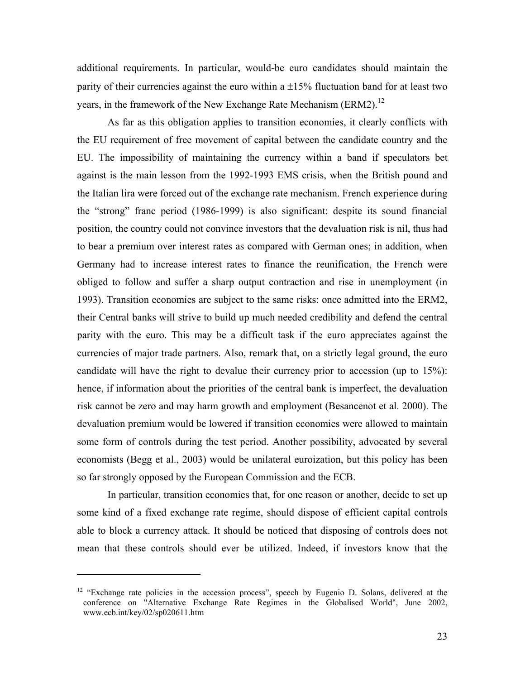additional requirements. In particular, would-be euro candidates should maintain the parity of their currencies against the euro within a  $\pm 15\%$  fluctuation band for at least two years, in the framework of the New Exchange Rate Mechanism (ERM2).<sup>12</sup>

As far as this obligation applies to transition economies, it clearly conflicts with the EU requirement of free movement of capital between the candidate country and the EU. The impossibility of maintaining the currency within a band if speculators bet against is the main lesson from the 1992-1993 EMS crisis, when the British pound and the Italian lira were forced out of the exchange rate mechanism. French experience during the "strong" franc period (1986-1999) is also significant: despite its sound financial position, the country could not convince investors that the devaluation risk is nil, thus had to bear a premium over interest rates as compared with German ones; in addition, when Germany had to increase interest rates to finance the reunification, the French were obliged to follow and suffer a sharp output contraction and rise in unemployment (in 1993). Transition economies are subject to the same risks: once admitted into the ERM2, their Central banks will strive to build up much needed credibility and defend the central parity with the euro. This may be a difficult task if the euro appreciates against the currencies of major trade partners. Also, remark that, on a strictly legal ground, the euro candidate will have the right to devalue their currency prior to accession (up to 15%): hence, if information about the priorities of the central bank is imperfect, the devaluation risk cannot be zero and may harm growth and employment (Besancenot et al. 2000). The devaluation premium would be lowered if transition economies were allowed to maintain some form of controls during the test period. Another possibility, advocated by several economists (Begg et al., 2003) would be unilateral euroization, but this policy has been so far strongly opposed by the European Commission and the ECB.

In particular, transition economies that, for one reason or another, decide to set up some kind of a fixed exchange rate regime, should dispose of efficient capital controls able to block a currency attack. It should be noticed that disposing of controls does not mean that these controls should ever be utilized. Indeed, if investors know that the

 $\overline{a}$ 

 $12$  "Exchange rate policies in the accession process", speech by Eugenio D. Solans, delivered at the conference on "Alternative Exchange Rate Regimes in the Globalised World", June 2002, www.ecb.int/key/02/sp020611.htm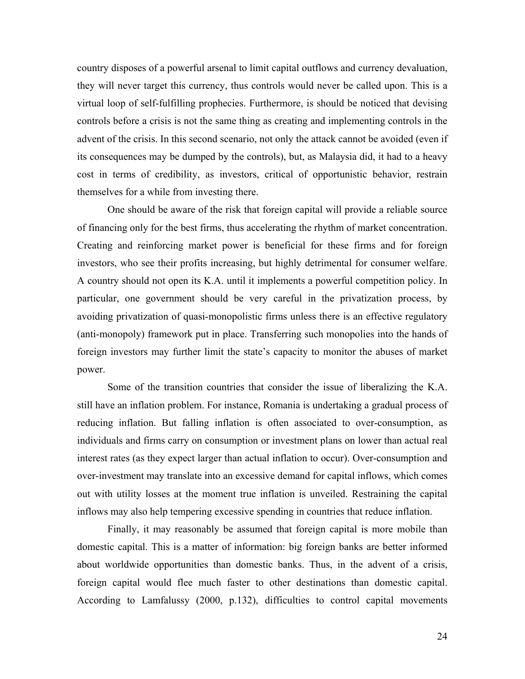country disposes of a powerful arsenal to limit capital outflows and currency devaluation, they will never target this currency, thus controls would never be called upon. This is a virtual loop of self-fulfilling prophecies. Furthermore, is should be noticed that devising controls before a crisis is not the same thing as creating and implementing controls in the advent of the crisis. In this second scenario, not only the attack cannot be avoided (even if its consequences may be dumped by the controls), but, as Malaysia did, it had to a heavy cost in terms of credibility, as investors, critical of opportunistic behavior, restrain themselves for a while from investing there.

One should be aware of the risk that foreign capital will provide a reliable source of financing only for the best firms, thus accelerating the rhythm of market concentration. Creating and reinforcing market power is beneficial for these firms and for foreign investors, who see their profits increasing, but highly detrimental for consumer welfare. A country should not open its K.A. until it implements a powerful competition policy. In particular, one government should be very careful in the privatization process, by avoiding privatization of quasi-monopolistic firms unless there is an effective regulatory (anti-monopoly) framework put in place. Transferring such monopolies into the hands of foreign investors may further limit the state's capacity to monitor the abuses of market power.

Some of the transition countries that consider the issue of liberalizing the K.A. still have an inflation problem. For instance, Romania is undertaking a gradual process of reducing inflation. But falling inflation is often associated to over-consumption, as individuals and firms carry on consumption or investment plans on lower than actual real interest rates (as they expect larger than actual inflation to occur). Over-consumption and over-investment may translate into an excessive demand for capital inflows, which comes out with utility losses at the moment true inflation is unveiled. Restraining the capital inflows may also help tempering excessive spending in countries that reduce inflation.

Finally, it may reasonably be assumed that foreign capital is more mobile than domestic capital. This is a matter of information: big foreign banks are better informed about worldwide opportunities than domestic banks. Thus, in the advent of a crisis, foreign capital would flee much faster to other destinations than domestic capital. According to Lamfalussy (2000, p.132), difficulties to control capital movements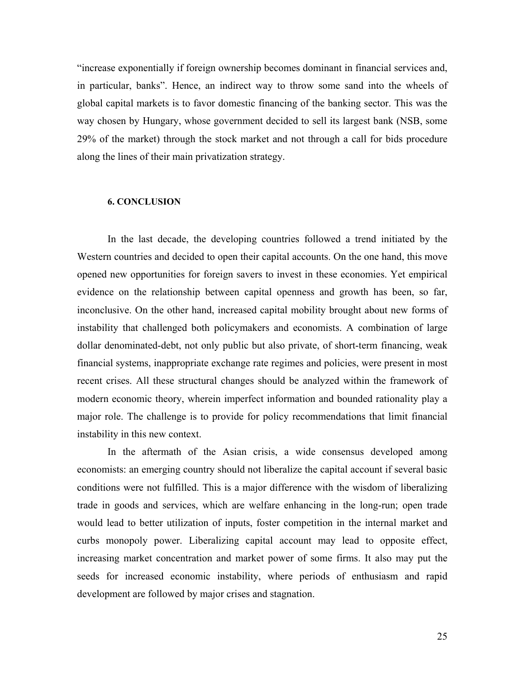"increase exponentially if foreign ownership becomes dominant in financial services and, in particular, banks". Hence, an indirect way to throw some sand into the wheels of global capital markets is to favor domestic financing of the banking sector. This was the way chosen by Hungary, whose government decided to sell its largest bank (NSB, some 29% of the market) through the stock market and not through a call for bids procedure along the lines of their main privatization strategy.

#### **6. CONCLUSION**

In the last decade, the developing countries followed a trend initiated by the Western countries and decided to open their capital accounts. On the one hand, this move opened new opportunities for foreign savers to invest in these economies. Yet empirical evidence on the relationship between capital openness and growth has been, so far, inconclusive. On the other hand, increased capital mobility brought about new forms of instability that challenged both policymakers and economists. A combination of large dollar denominated-debt, not only public but also private, of short-term financing, weak financial systems, inappropriate exchange rate regimes and policies, were present in most recent crises. All these structural changes should be analyzed within the framework of modern economic theory, wherein imperfect information and bounded rationality play a major role. The challenge is to provide for policy recommendations that limit financial instability in this new context.

In the aftermath of the Asian crisis, a wide consensus developed among economists: an emerging country should not liberalize the capital account if several basic conditions were not fulfilled. This is a major difference with the wisdom of liberalizing trade in goods and services, which are welfare enhancing in the long-run; open trade would lead to better utilization of inputs, foster competition in the internal market and curbs monopoly power. Liberalizing capital account may lead to opposite effect, increasing market concentration and market power of some firms. It also may put the seeds for increased economic instability, where periods of enthusiasm and rapid development are followed by major crises and stagnation.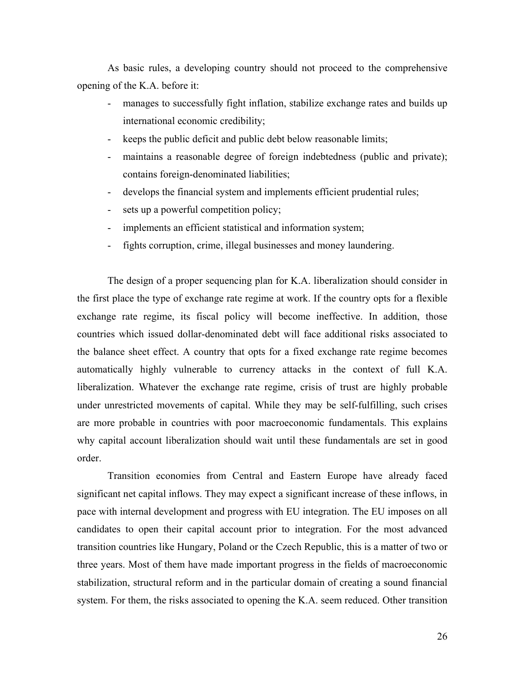As basic rules, a developing country should not proceed to the comprehensive opening of the K.A. before it:

- manages to successfully fight inflation, stabilize exchange rates and builds up international economic credibility;
- keeps the public deficit and public debt below reasonable limits;
- maintains a reasonable degree of foreign indebtedness (public and private); contains foreign-denominated liabilities;
- develops the financial system and implements efficient prudential rules;
- sets up a powerful competition policy;
- implements an efficient statistical and information system;
- fights corruption, crime, illegal businesses and money laundering.

The design of a proper sequencing plan for K.A. liberalization should consider in the first place the type of exchange rate regime at work. If the country opts for a flexible exchange rate regime, its fiscal policy will become ineffective. In addition, those countries which issued dollar-denominated debt will face additional risks associated to the balance sheet effect. A country that opts for a fixed exchange rate regime becomes automatically highly vulnerable to currency attacks in the context of full K.A. liberalization. Whatever the exchange rate regime, crisis of trust are highly probable under unrestricted movements of capital. While they may be self-fulfilling, such crises are more probable in countries with poor macroeconomic fundamentals. This explains why capital account liberalization should wait until these fundamentals are set in good order.

Transition economies from Central and Eastern Europe have already faced significant net capital inflows. They may expect a significant increase of these inflows, in pace with internal development and progress with EU integration. The EU imposes on all candidates to open their capital account prior to integration. For the most advanced transition countries like Hungary, Poland or the Czech Republic, this is a matter of two or three years. Most of them have made important progress in the fields of macroeconomic stabilization, structural reform and in the particular domain of creating a sound financial system. For them, the risks associated to opening the K.A. seem reduced. Other transition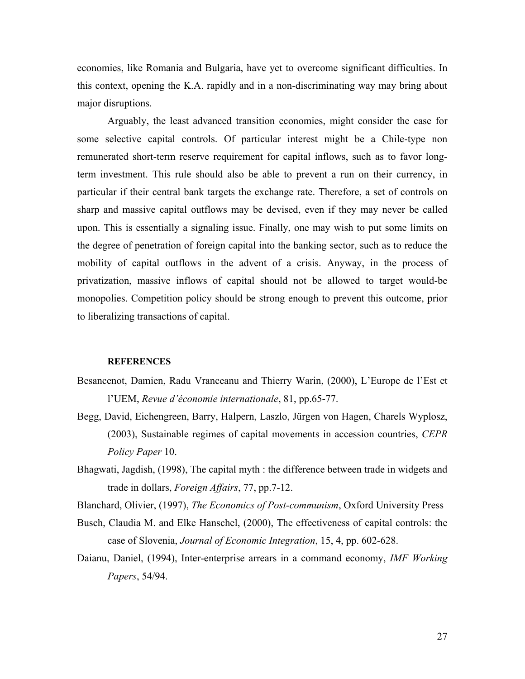economies, like Romania and Bulgaria, have yet to overcome significant difficulties. In this context, opening the K.A. rapidly and in a non-discriminating way may bring about major disruptions.

Arguably, the least advanced transition economies, might consider the case for some selective capital controls. Of particular interest might be a Chile-type non remunerated short-term reserve requirement for capital inflows, such as to favor longterm investment. This rule should also be able to prevent a run on their currency, in particular if their central bank targets the exchange rate. Therefore, a set of controls on sharp and massive capital outflows may be devised, even if they may never be called upon. This is essentially a signaling issue. Finally, one may wish to put some limits on the degree of penetration of foreign capital into the banking sector, such as to reduce the mobility of capital outflows in the advent of a crisis. Anyway, in the process of privatization, massive inflows of capital should not be allowed to target would-be monopolies. Competition policy should be strong enough to prevent this outcome, prior to liberalizing transactions of capital.

#### **REFERENCES**

- Besancenot, Damien, Radu Vranceanu and Thierry Warin, (2000), L'Europe de l'Est et l'UEM, *Revue d'économie internationale*, 81, pp.65-77.
- Begg, David, Eichengreen, Barry, Halpern, Laszlo, Jürgen von Hagen, Charels Wyplosz, (2003), Sustainable regimes of capital movements in accession countries, *CEPR Policy Paper* 10.
- Bhagwati, Jagdish, (1998), The capital myth : the difference between trade in widgets and trade in dollars, *Foreign Affairs*, 77, pp.7-12.

Blanchard, Olivier, (1997), *The Economics of Post-communism*, Oxford University Press

- Busch, Claudia M. and Elke Hanschel, (2000), The effectiveness of capital controls: the case of Slovenia, *Journal of Economic Integration*, 15, 4, pp. 602-628.
- Daianu, Daniel, (1994), Inter-enterprise arrears in a command economy, *IMF Working Papers*, 54/94.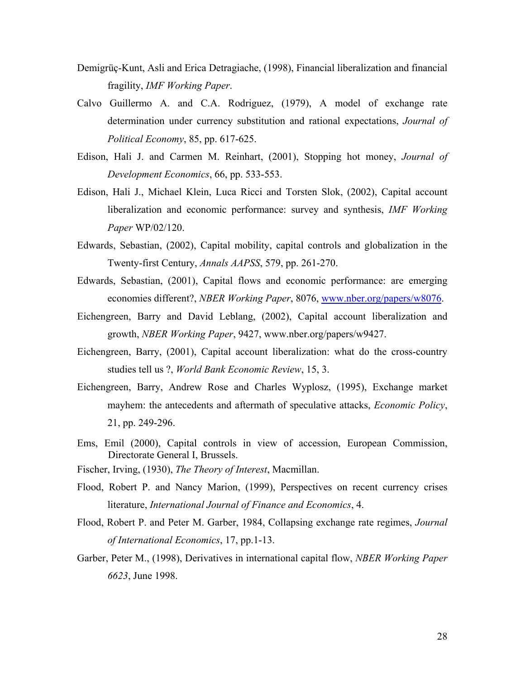- Demigrüç-Kunt, Asli and Erica Detragiache, (1998), Financial liberalization and financial fragility, *IMF Working Paper*.
- Calvo Guillermo A. and C.A. Rodriguez, (1979), A model of exchange rate determination under currency substitution and rational expectations, *Journal of Political Economy*, 85, pp. 617-625.
- Edison, Hali J. and Carmen M. Reinhart, (2001), Stopping hot money, *Journal of Development Economics*, 66, pp. 533-553.
- Edison, Hali J., Michael Klein, Luca Ricci and Torsten Slok, (2002), Capital account liberalization and economic performance: survey and synthesis, *IMF Working Paper* WP/02/120.
- Edwards, Sebastian, (2002), Capital mobility, capital controls and globalization in the Twenty-first Century, *Annals AAPSS*, 579, pp. 261-270.
- Edwards, Sebastian, (2001), Capital flows and economic performance: are emerging economies different?, *NBER Working Paper*, 8076, www.nber.org/papers/w8076.
- Eichengreen, Barry and David Leblang, (2002), Capital account liberalization and growth, *NBER Working Paper*, 9427, www.nber.org/papers/w9427.
- Eichengreen, Barry, (2001), Capital account liberalization: what do the cross-country studies tell us ?, *World Bank Economic Review*, 15, 3.
- Eichengreen, Barry, Andrew Rose and Charles Wyplosz, (1995), Exchange market mayhem: the antecedents and aftermath of speculative attacks, *Economic Policy*, 21, pp. 249-296.
- Ems, Emil (2000), Capital controls in view of accession, European Commission, Directorate General I, Brussels.
- Fischer, Irving, (1930), *The Theory of Interest*, Macmillan.
- Flood, Robert P. and Nancy Marion, (1999), Perspectives on recent currency crises literature, *International Journal of Finance and Economics*, 4.
- Flood, Robert P. and Peter M. Garber, 1984, Collapsing exchange rate regimes, *Journal of International Economics*, 17, pp.1-13.
- Garber, Peter M., (1998), Derivatives in international capital flow, *NBER Working Paper 6623*, June 1998.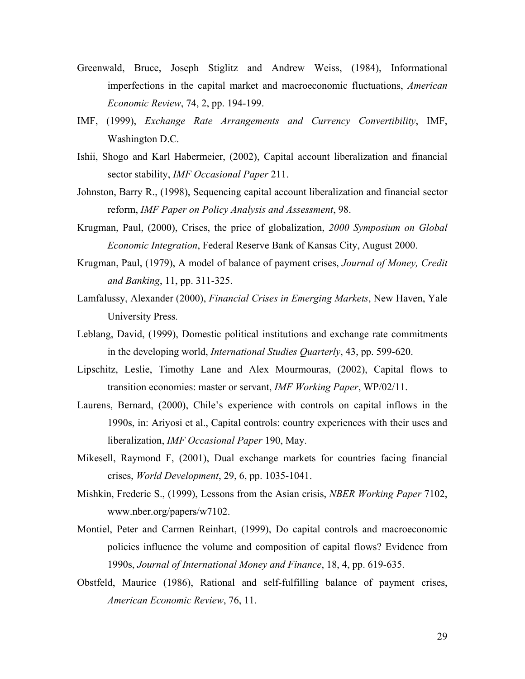- Greenwald, Bruce, Joseph Stiglitz and Andrew Weiss, (1984), Informational imperfections in the capital market and macroeconomic fluctuations, *American Economic Review*, 74, 2, pp. 194-199.
- IMF, (1999), *Exchange Rate Arrangements and Currency Convertibility*, IMF, Washington D.C.
- Ishii, Shogo and Karl Habermeier, (2002), Capital account liberalization and financial sector stability, *IMF Occasional Paper* 211.
- Johnston, Barry R., (1998), Sequencing capital account liberalization and financial sector reform, *IMF Paper on Policy Analysis and Assessment*, 98.
- Krugman, Paul, (2000), Crises, the price of globalization, *2000 Symposium on Global Economic Integration*, Federal Reserve Bank of Kansas City, August 2000.
- Krugman, Paul, (1979), A model of balance of payment crises, *Journal of Money, Credit and Banking*, 11, pp. 311-325.
- Lamfalussy, Alexander (2000), *Financial Crises in Emerging Markets*, New Haven, Yale University Press.
- Leblang, David, (1999), Domestic political institutions and exchange rate commitments in the developing world, *International Studies Quarterly*, 43, pp. 599-620.
- Lipschitz, Leslie, Timothy Lane and Alex Mourmouras, (2002), Capital flows to transition economies: master or servant, *IMF Working Paper*, WP/02/11.
- Laurens, Bernard, (2000), Chile's experience with controls on capital inflows in the 1990s, in: Ariyosi et al., Capital controls: country experiences with their uses and liberalization, *IMF Occasional Paper* 190, May.
- Mikesell, Raymond F, (2001), Dual exchange markets for countries facing financial crises, *World Development*, 29, 6, pp. 1035-1041.
- Mishkin, Frederic S., (1999), Lessons from the Asian crisis, *NBER Working Paper* 7102, www.nber.org/papers/w7102.
- Montiel, Peter and Carmen Reinhart, (1999), Do capital controls and macroeconomic policies influence the volume and composition of capital flows? Evidence from 1990s, *Journal of International Money and Finance*, 18, 4, pp. 619-635.
- Obstfeld, Maurice (1986), Rational and self-fulfilling balance of payment crises, *American Economic Review*, 76, 11.